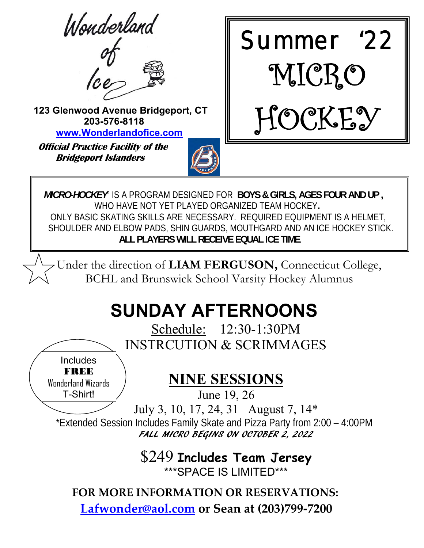Wonderland



 **123 Glenwood Avenue Bridgeport, CT 203-576-8118 www.Wonderlandofice.com**

 **Official Practice Facility of the Bridgeport Islanders** 

Includes **FREE** Wonderland Wizards T-Shirt!





 *MICRO-HOCKEY*" IS A PROGRAM DESIGNED FOR **BOYS & GIRLS, AGES FOUR AND UP ,** WHO HAVE NOT YET PLAYED ORGANIZED TEAM HOCKEY**.**  ONLY BASIC SKATING SKILLS ARE NECESSARY. REQUIRED EQUIPMENT IS A HELMET, SHOULDER AND ELBOW PADS, SHIN GUARDS, MOUTHGARD AND AN ICE HOCKEY STICK.  **ALL PLAYERS WILL RECEIVE EQUAL ICE TIME**.

Under the direction of **LIAM FERGUSON,** Connecticut College, BCHL and Brunswick School Varsity Hockey Alumnus

# **SUNDAY AFTERNOONS**

Schedule: 12:30-1:30PM INSTRCUTION & SCRIMMAGES

**NINE SESSIONS** 

June 19, 26

July 3, 10, 17, 24, 31 August 7, 14\*

\*Extended Session Includes Family Skate and Pizza Party from 2:00 – 4:00PM FALL MICRO BEGINS ON OCTOBER 2, 2022

> \$249 **Includes Team Jersey** \*\*\*SPACE IS LIMITED\*\*\*

**FOR MORE INFORMATION OR RESERVATIONS:**

**Lafwonder@aol.com or Sean at (203)799‐7200**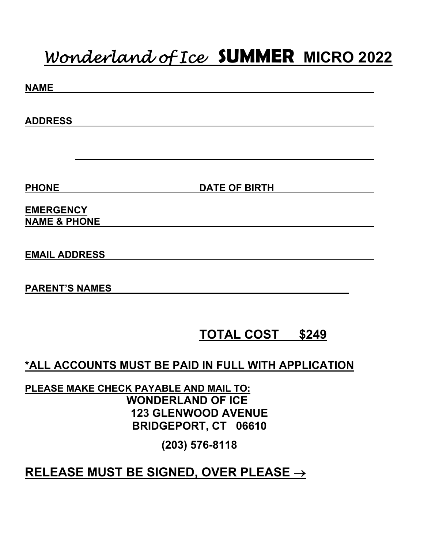## *Wonderland of Ice* **SUMMER MICRO 2022**

| <b>NAME</b>                                         |                            |
|-----------------------------------------------------|----------------------------|
|                                                     |                            |
| <b>ADDRESS</b>                                      |                            |
|                                                     |                            |
|                                                     |                            |
|                                                     |                            |
| <b>PHONE</b>                                        | <b>DATE OF BIRTH</b>       |
| <b>EMERGENCY</b>                                    |                            |
| <b>NAME &amp; PHONE</b>                             |                            |
|                                                     |                            |
| <b>EMAIL ADDRESS</b>                                |                            |
|                                                     |                            |
| <b>PARENT'S NAMES</b>                               |                            |
|                                                     |                            |
|                                                     |                            |
|                                                     | <b>TOTAL COST</b><br>\$249 |
|                                                     |                            |
| *ALL ACCOUNTS MUST BE PAID IN FULL WITH APPLICATION |                            |

**PLEASE MAKE CHECK PAYABLE AND MAIL TO: WONDERLAND OF ICE 123 GLENWOOD AVENUE BRIDGEPORT, CT 06610** 

**(203) 576-8118** 

### **RELEASE MUST BE SIGNED, OVER PLEASE**